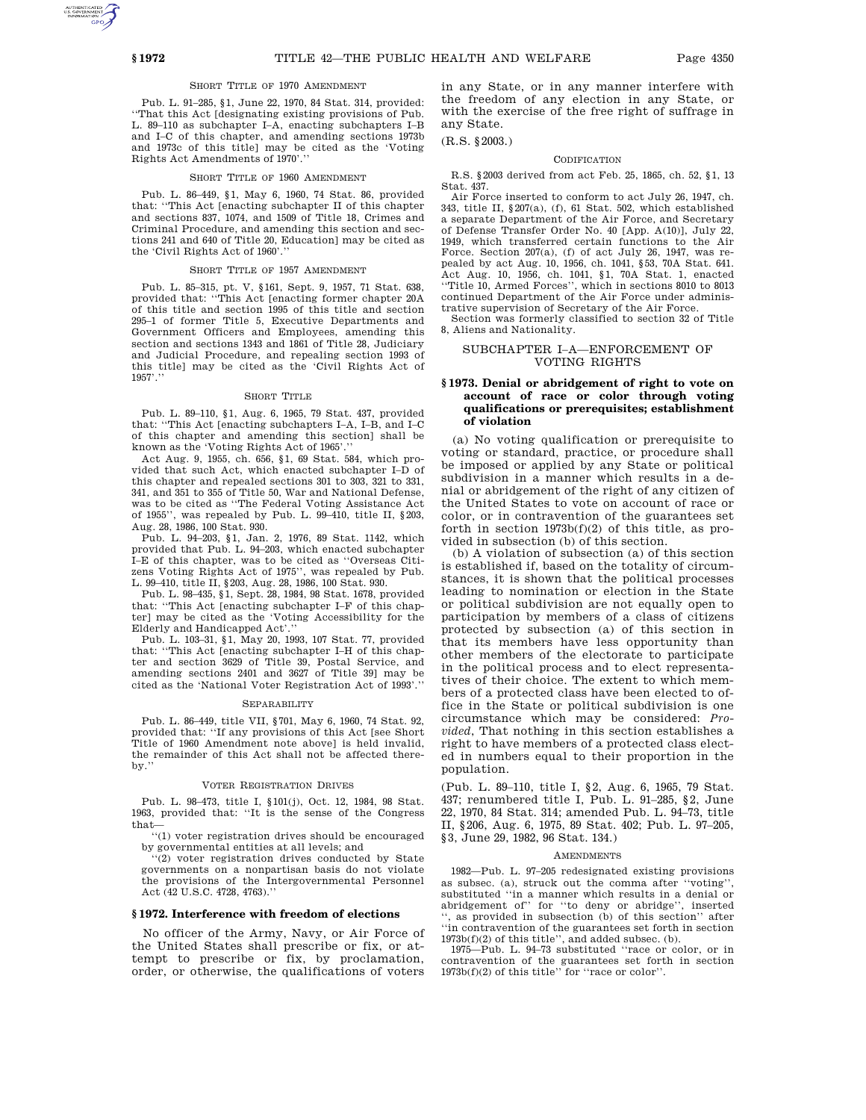# SHORT TITLE OF 1970 AMENDMENT

Pub. L. 91–285, §1, June 22, 1970, 84 Stat. 314, provided: ''That this Act [designating existing provisions of Pub. L. 89–110 as subchapter I–A, enacting subchapters I–B and I–C of this chapter, and amending sections 1973b and 1973c of this title] may be cited as the 'Voting Rights Act Amendments of 1970'.''

### SHORT TITLE OF 1960 AMENDMENT

Pub. L. 86–449, §1, May 6, 1960, 74 Stat. 86, provided that: ''This Act [enacting subchapter II of this chapter and sections 837, 1074, and 1509 of Title 18, Crimes and Criminal Procedure, and amending this section and sections 241 and 640 of Title 20, Education] may be cited as the 'Civil Rights Act of 1960'.'

### SHORT TITLE OF 1957 AMENDMENT

Pub. L. 85–315, pt. V, §161, Sept. 9, 1957, 71 Stat. 638, provided that: ''This Act [enacting former chapter 20A of this title and section 1995 of this title and section 295–1 of former Title 5, Executive Departments and Government Officers and Employees, amending this section and sections 1343 and 1861 of Title 28, Judiciary<br>and Judicial Procedure, and repealing section 1993 of and Judicial Procedure, and repealing section 1993 of this title] may be cited as the 'Civil Rights Act of 1957'.''

#### SHORT TITLE

Pub. L. 89–110, §1, Aug. 6, 1965, 79 Stat. 437, provided that: ''This Act [enacting subchapters I–A, I–B, and I–C of this chapter and amending this section] shall be known as the 'Voting Rights Act of 1965'.''

Act Aug. 9, 1955, ch. 656, §1, 69 Stat. 584, which provided that such Act, which enacted subchapter I–D of this chapter and repealed sections 301 to 303, 321 to 331, 341, and 351 to 355 of Title 50, War and National Defense, was to be cited as ''The Federal Voting Assistance Act of 1955'', was repealed by Pub. L. 99–410, title II, §203, Aug. 28, 1986, 100 Stat. 930.

Pub. L. 94–203, §1, Jan. 2, 1976, 89 Stat. 1142, which provided that Pub. L. 94–203, which enacted subchapter I–E of this chapter, was to be cited as ''Overseas Citizens Voting Rights Act of 1975'', was repealed by Pub. L. 99–410, title II, §203, Aug. 28, 1986, 100 Stat. 930.

Pub. L. 98–435, §1, Sept. 28, 1984, 98 Stat. 1678, provided that: ''This Act [enacting subchapter I–F of this chapter] may be cited as the 'Voting Accessibility for the Elderly and Handicapped Act'.''

Pub. L. 103–31, §1, May 20, 1993, 107 Stat. 77, provided that: ''This Act [enacting subchapter I–H of this chapter and section 3629 of Title 39, Postal Service, and amending sections 2401 and 3627 of Title 39] may be cited as the 'National Voter Registration Act of 1993'.''

### **SEPARABILITY**

Pub. L. 86–449, title VII, §701, May 6, 1960, 74 Stat. 92, provided that: ''If any provisions of this Act [see Short Title of 1960 Amendment note above] is held invalid, the remainder of this Act shall not be affected thereby.

#### VOTER REGISTRATION DRIVES

Pub. L. 98–473, title I, §101(j), Oct. 12, 1984, 98 Stat. 1963, provided that: ''It is the sense of the Congress that—

''(1) voter registration drives should be encouraged by governmental entities at all levels; and

''(2) voter registration drives conducted by State governments on a nonpartisan basis do not violate the provisions of the Intergovernmental Personnel Act (42 U.S.C. 4728, 4763).''

### **§ 1972. Interference with freedom of elections**

No officer of the Army, Navy, or Air Force of the United States shall prescribe or fix, or attempt to prescribe or fix, by proclamation, order, or otherwise, the qualifications of voters

in any State, or in any manner interfere with the freedom of any election in any State, or with the exercise of the free right of suffrage in any State.

# (R.S. §2003.)

#### CODIFICATION

R.S. §2003 derived from act Feb. 25, 1865, ch. 52, §1, 13 Stat. 437.

Air Force inserted to conform to act July 26, 1947, ch. 343, title II, §207(a), (f), 61 Stat. 502, which established a separate Department of the Air Force, and Secretary of Defense Transfer Order No. 40 [App. A(10)], July 22, 1949, which transferred certain functions to the Air Force. Section 207(a), (f) of act July 26, 1947, was repealed by act Aug. 10, 1956, ch. 1041, §53, 70A Stat. 641. Act Aug. 10, 1956, ch. 1041, §1, 70A Stat. 1, enacted ''Title 10, Armed Forces'', which in sections 8010 to 8013 continued Department of the Air Force under administrative supervision of Secretary of the Air Force.

Section was formerly classified to section 32 of Title 8, Aliens and Nationality.

## SUBCHAPTER I–A—ENFORCEMENT OF VOTING RIGHTS

### **§ 1973. Denial or abridgement of right to vote on account of race or color through voting qualifications or prerequisites; establishment of violation**

(a) No voting qualification or prerequisite to voting or standard, practice, or procedure shall be imposed or applied by any State or political subdivision in a manner which results in a denial or abridgement of the right of any citizen of the United States to vote on account of race or color, or in contravention of the guarantees set forth in section  $1973b(f)(2)$  of this title, as provided in subsection (b) of this section.

(b) A violation of subsection (a) of this section is established if, based on the totality of circumstances, it is shown that the political processes leading to nomination or election in the State or political subdivision are not equally open to participation by members of a class of citizens protected by subsection (a) of this section in that its members have less opportunity than other members of the electorate to participate in the political process and to elect representatives of their choice. The extent to which members of a protected class have been elected to office in the State or political subdivision is one circumstance which may be considered: *Provided*, That nothing in this section establishes a right to have members of a protected class elected in numbers equal to their proportion in the population.

(Pub. L. 89–110, title I, §2, Aug. 6, 1965, 79 Stat. 437; renumbered title I, Pub. L. 91–285, §2, June 22, 1970, 84 Stat. 314; amended Pub. L. 94–73, title II, §206, Aug. 6, 1975, 89 Stat. 402; Pub. L. 97–205, §3, June 29, 1982, 96 Stat. 134.)

#### **AMENDMENTS**

1982—Pub. L. 97–205 redesignated existing provisions as subsec. (a), struck out the comma after ''voting'', substituted ''in a manner which results in a denial or abridgement of'' for ''to deny or abridge'', inserted '', as provided in subsection (b) of this section'' after ''in contravention of the guarantees set forth in section 1973b(f)(2) of this title'', and added subsec. (b).

1975—Pub. L. 94–73 substituted ''race or color, or in contravention of the guarantees set forth in section  $1973b(f)(2)$  of this title'' for "race or color".